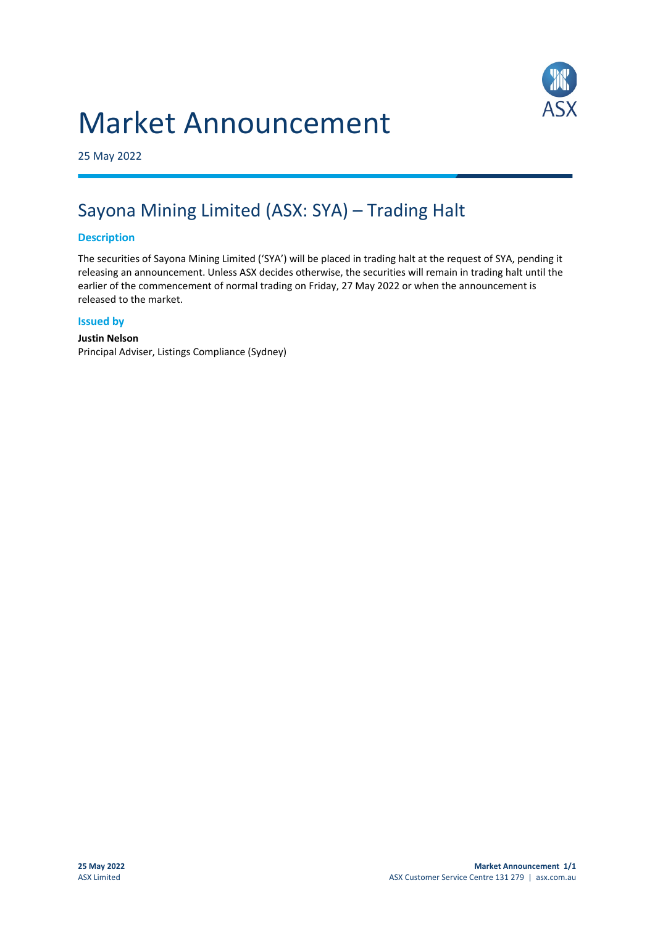# Market Announcement



25 May 2022

## Sayona Mining Limited (ASX: SYA) – Trading Halt

#### **Description**

The securities of Sayona Mining Limited ('SYA') will be placed in trading halt at the request of SYA, pending it releasing an announcement. Unless ASX decides otherwise, the securities will remain in trading halt until the earlier of the commencement of normal trading on Friday, 27 May 2022 or when the announcement is released to the market.

#### **Issued by**

#### **Justin Nelson** Principal Adviser, Listings Compliance (Sydney)